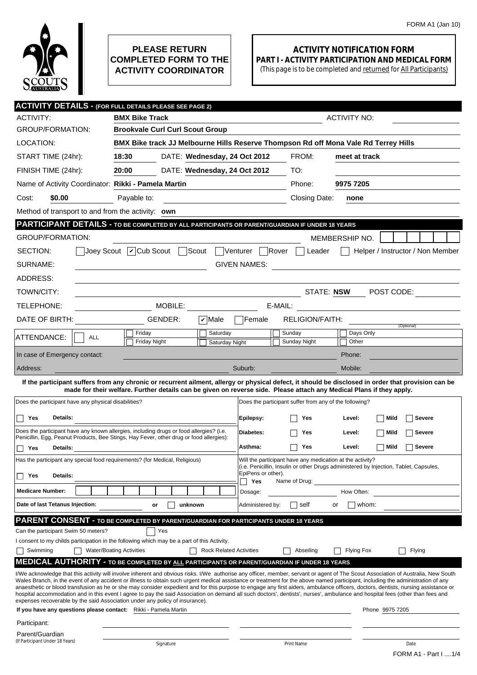

## **PLEASE RETURN COMPLETED FORM TO THE ACTIVITY COORDINATOR**

## **ACTIVITY NOTIFICATION FORM PART I - ACTIVITY PARTICIPATION AND MEDICAL FORM**

(This page is to be completed and returned for All Participants)

|                                                                                                                                                                                                                                   | <b>ACTIVITY DETAILS - (FOR FULL DETAILS PLEASE SEE PAGE 2)</b>                                                                                                                                                                                                 |                                                   |                                                        |                                                                                                                                                                                                                                                                                                                                                                                                                                                                                                                                                              |  |  |  |
|-----------------------------------------------------------------------------------------------------------------------------------------------------------------------------------------------------------------------------------|----------------------------------------------------------------------------------------------------------------------------------------------------------------------------------------------------------------------------------------------------------------|---------------------------------------------------|--------------------------------------------------------|--------------------------------------------------------------------------------------------------------------------------------------------------------------------------------------------------------------------------------------------------------------------------------------------------------------------------------------------------------------------------------------------------------------------------------------------------------------------------------------------------------------------------------------------------------------|--|--|--|
| <b>ACTIVITY:</b>                                                                                                                                                                                                                  | <b>BMX Bike Track</b>                                                                                                                                                                                                                                          | <b>ACTIVITY NO:</b>                               |                                                        |                                                                                                                                                                                                                                                                                                                                                                                                                                                                                                                                                              |  |  |  |
| GROUP/FORMATION:                                                                                                                                                                                                                  | <b>Brookvale Curl Curl Scout Group</b>                                                                                                                                                                                                                         |                                                   |                                                        |                                                                                                                                                                                                                                                                                                                                                                                                                                                                                                                                                              |  |  |  |
| LOCATION:                                                                                                                                                                                                                         | BMX Bike track JJ Melbourne Hills Reserve Thompson Rd off Mona Vale Rd Terrey Hills                                                                                                                                                                            |                                                   |                                                        |                                                                                                                                                                                                                                                                                                                                                                                                                                                                                                                                                              |  |  |  |
| START TIME (24hr):                                                                                                                                                                                                                | 18:30<br>DATE: Wednesday, 24 Oct 2012                                                                                                                                                                                                                          |                                                   | FROM:                                                  | meet at track                                                                                                                                                                                                                                                                                                                                                                                                                                                                                                                                                |  |  |  |
| FINISH TIME (24hr):                                                                                                                                                                                                               | 20:00<br>DATE: Wednesday, 24 Oct 2012                                                                                                                                                                                                                          |                                                   | TO:                                                    |                                                                                                                                                                                                                                                                                                                                                                                                                                                                                                                                                              |  |  |  |
| Name of Activity Coordinator: Rikki - Pamela Martin                                                                                                                                                                               |                                                                                                                                                                                                                                                                |                                                   | Phone:                                                 | 9975 7205                                                                                                                                                                                                                                                                                                                                                                                                                                                                                                                                                    |  |  |  |
| Cost:<br>\$0.00                                                                                                                                                                                                                   | Payable to:                                                                                                                                                                                                                                                    | <u> 1980 - Johann Barbara, martin amerikan ba</u> | Closing Date:                                          | none                                                                                                                                                                                                                                                                                                                                                                                                                                                                                                                                                         |  |  |  |
| Method of transport to and from the activity: own                                                                                                                                                                                 |                                                                                                                                                                                                                                                                |                                                   |                                                        |                                                                                                                                                                                                                                                                                                                                                                                                                                                                                                                                                              |  |  |  |
|                                                                                                                                                                                                                                   | PARTICIPANT DETAILS - TO BE COMPLETED BY ALL PARTICIPANTS OR PARENT/GUARDIAN IF UNDER 18 YEARS                                                                                                                                                                 |                                                   |                                                        |                                                                                                                                                                                                                                                                                                                                                                                                                                                                                                                                                              |  |  |  |
| <b>GROUP/FORMATION:</b>                                                                                                                                                                                                           |                                                                                                                                                                                                                                                                |                                                   |                                                        | MEMBERSHIP NO.                                                                                                                                                                                                                                                                                                                                                                                                                                                                                                                                               |  |  |  |
| SECTION:                                                                                                                                                                                                                          | Joey Scout   Cub Scout   Scout   Venturer   Rover                                                                                                                                                                                                              |                                                   | Leader                                                 | Helper / Instructor / Non Member<br>$\mathbf{I}$                                                                                                                                                                                                                                                                                                                                                                                                                                                                                                             |  |  |  |
| SURNAME:<br><b>GIVEN NAMES:</b>                                                                                                                                                                                                   |                                                                                                                                                                                                                                                                |                                                   |                                                        |                                                                                                                                                                                                                                                                                                                                                                                                                                                                                                                                                              |  |  |  |
| ADDRESS:                                                                                                                                                                                                                          |                                                                                                                                                                                                                                                                |                                                   |                                                        |                                                                                                                                                                                                                                                                                                                                                                                                                                                                                                                                                              |  |  |  |
| TOWN/CITY:                                                                                                                                                                                                                        |                                                                                                                                                                                                                                                                |                                                   | STATE: NSW                                             | POST CODE:                                                                                                                                                                                                                                                                                                                                                                                                                                                                                                                                                   |  |  |  |
| TELEPHONE:                                                                                                                                                                                                                        | MOBILE:                                                                                                                                                                                                                                                        | E-MAIL:                                           |                                                        |                                                                                                                                                                                                                                                                                                                                                                                                                                                                                                                                                              |  |  |  |
| DATE OF BIRTH:                                                                                                                                                                                                                    | GENDER:<br>$ \boldsymbol{v} $ Male                                                                                                                                                                                                                             | Female                                            | RELIGION/FAITH:                                        |                                                                                                                                                                                                                                                                                                                                                                                                                                                                                                                                                              |  |  |  |
|                                                                                                                                                                                                                                   | Friday<br>Saturday                                                                                                                                                                                                                                             |                                                   | Sunday                                                 | (Optional)<br>Days Only                                                                                                                                                                                                                                                                                                                                                                                                                                                                                                                                      |  |  |  |
| ATTENDANCE:<br><b>ALL</b>                                                                                                                                                                                                         | Friday Night                                                                                                                                                                                                                                                   | Saturday Night                                    | Sunday Night                                           | Other                                                                                                                                                                                                                                                                                                                                                                                                                                                                                                                                                        |  |  |  |
| In case of Emergency contact:                                                                                                                                                                                                     |                                                                                                                                                                                                                                                                |                                                   |                                                        | Phone:                                                                                                                                                                                                                                                                                                                                                                                                                                                                                                                                                       |  |  |  |
| Address:                                                                                                                                                                                                                          |                                                                                                                                                                                                                                                                | Suburb:                                           |                                                        | Mobile:                                                                                                                                                                                                                                                                                                                                                                                                                                                                                                                                                      |  |  |  |
|                                                                                                                                                                                                                                   | made for their welfare. Further details can be given on reverse side. Please attach any Medical Plans if they apply.                                                                                                                                           |                                                   |                                                        | If the participant suffers from any chronic or recurrent ailment, allergy or physical defect, it should be disclosed in order that provision can be                                                                                                                                                                                                                                                                                                                                                                                                          |  |  |  |
| Does the participant have any physical disabilities?                                                                                                                                                                              |                                                                                                                                                                                                                                                                |                                                   | Does the participant suffer from any of the following? |                                                                                                                                                                                                                                                                                                                                                                                                                                                                                                                                                              |  |  |  |
| Details:<br>Yes                                                                                                                                                                                                                   |                                                                                                                                                                                                                                                                | Epilepsy:                                         | Yes                                                    | Mild<br><b>Severe</b><br>Level:                                                                                                                                                                                                                                                                                                                                                                                                                                                                                                                              |  |  |  |
|                                                                                                                                                                                                                                   | Does the participant have any known allergies, including drugs or food allergies? (i.e.                                                                                                                                                                        | Diabetes:                                         | Yes                                                    | ∣ ∣Mild<br><b>Severe</b><br>Level:                                                                                                                                                                                                                                                                                                                                                                                                                                                                                                                           |  |  |  |
|                                                                                                                                                                                                                                   | Penicillin, Egg, Peanut Products, Bee Stings, Hay Fever, other drug or food allergies):                                                                                                                                                                        |                                                   |                                                        |                                                                                                                                                                                                                                                                                                                                                                                                                                                                                                                                                              |  |  |  |
| $\Box$ Yes<br>Details:                                                                                                                                                                                                            |                                                                                                                                                                                                                                                                | Asthma:                                           | Yes                                                    | ∣ ∣Mild<br><b>Severe</b><br>Level:                                                                                                                                                                                                                                                                                                                                                                                                                                                                                                                           |  |  |  |
| Has the participant any special food requirements? (for Medical, Religious)<br>Will the participant have any medication at the activity?<br>(i.e. Penicillin, Insulin or other Drugs administered by Injection, Tablet, Capsules, |                                                                                                                                                                                                                                                                |                                                   |                                                        |                                                                                                                                                                                                                                                                                                                                                                                                                                                                                                                                                              |  |  |  |
| $\Box$ Yes<br>Details:                                                                                                                                                                                                            |                                                                                                                                                                                                                                                                | EpiPens or other).<br>Yes                         | Name of Drug:                                          |                                                                                                                                                                                                                                                                                                                                                                                                                                                                                                                                                              |  |  |  |
| <b>Medicare Number:</b>                                                                                                                                                                                                           |                                                                                                                                                                                                                                                                | Dosage:                                           |                                                        | How Often:                                                                                                                                                                                                                                                                                                                                                                                                                                                                                                                                                   |  |  |  |
| Date of last Tetanus Injection:                                                                                                                                                                                                   | unknown<br>or                                                                                                                                                                                                                                                  | Administered by:                                  | self<br>or                                             | whom:                                                                                                                                                                                                                                                                                                                                                                                                                                                                                                                                                        |  |  |  |
|                                                                                                                                                                                                                                   | <b>PARENT CONSENT - TO BE COMPLETED BY PARENT/GUARDIAN FOR PARTICIPANTS UNDER 18 YEARS</b>                                                                                                                                                                     |                                                   |                                                        |                                                                                                                                                                                                                                                                                                                                                                                                                                                                                                                                                              |  |  |  |
| Can the participant Swim 50 meters?                                                                                                                                                                                               | Yes                                                                                                                                                                                                                                                            |                                                   |                                                        |                                                                                                                                                                                                                                                                                                                                                                                                                                                                                                                                                              |  |  |  |
| Swimming                                                                                                                                                                                                                          | I consent to my childs participation in the following which may be a part of this Activity.<br><b>Water/Boating Activities</b>                                                                                                                                 | <b>Rock Related Activities</b>                    | Abseiling                                              | Flying<br><b>Flying Fox</b>                                                                                                                                                                                                                                                                                                                                                                                                                                                                                                                                  |  |  |  |
|                                                                                                                                                                                                                                   | <b>MEDICAL AUTHORITY - TO BE COMPLETED BY ALL PARTICIPANTS OR PARENT/GUARDIAN IF UNDER 18 YEARS</b>                                                                                                                                                            |                                                   |                                                        |                                                                                                                                                                                                                                                                                                                                                                                                                                                                                                                                                              |  |  |  |
|                                                                                                                                                                                                                                   | hospital accommodation and in this event I agree to pay the said Association on demand all such doctors', dentists', nurses', ambulance and hospital fees (other than fees and<br>expenses recoverable by the said Association under any policy of insurance). |                                                   |                                                        | I/We acknowledge that this activity will involve inherent and obvious risks. I/We authorise any officer, member, servant or agent of The Scout Association of Australia, New South<br>Wales Branch, in the event of any accident or illness to obtain such urgent medical assistance or treatment for the above named participant, including the administration of any<br>anaesthetic or blood transfusion as he or she may consider expedient and for this purpose to engage any first aiders, ambulance officers, doctors, dentists, nursing assistance or |  |  |  |
| If you have any questions please contact: Rikki - Pamela Martin                                                                                                                                                                   |                                                                                                                                                                                                                                                                |                                                   |                                                        | Phone 9975 7205                                                                                                                                                                                                                                                                                                                                                                                                                                                                                                                                              |  |  |  |
| Participant:                                                                                                                                                                                                                      |                                                                                                                                                                                                                                                                |                                                   |                                                        |                                                                                                                                                                                                                                                                                                                                                                                                                                                                                                                                                              |  |  |  |
| Parent/Guardian<br>(If Participant Under 18 Years)                                                                                                                                                                                |                                                                                                                                                                                                                                                                |                                                   |                                                        |                                                                                                                                                                                                                                                                                                                                                                                                                                                                                                                                                              |  |  |  |
|                                                                                                                                                                                                                                   | Signature                                                                                                                                                                                                                                                      |                                                   | Print Name                                             | Date<br>FORM A1 - Part I  1/4                                                                                                                                                                                                                                                                                                                                                                                                                                                                                                                                |  |  |  |